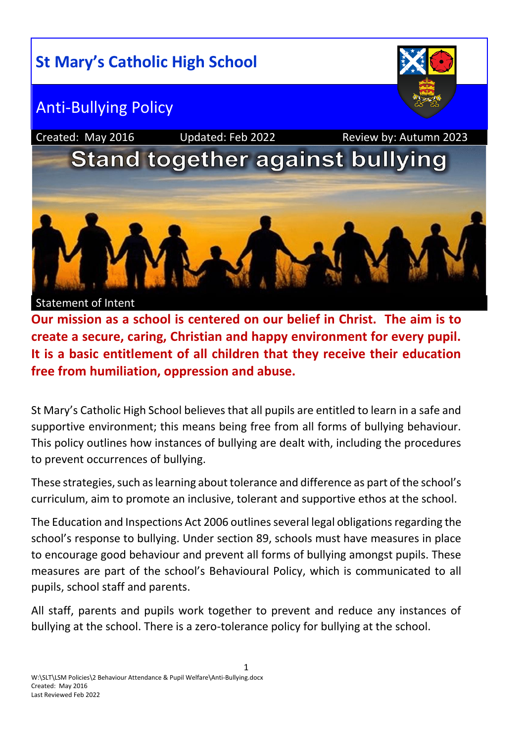# **St Mary's Catholic High School**



# Anti-Bullying Policy

Created: May 2016 Updated: Feb 2022 Review by: Autumn 2023

# **Stand together against bullying**

Statement of Intent

**Our mission as a school is centered on our belief in Christ. The aim is to create a secure, caring, Christian and happy environment for every pupil. It is a basic entitlement of all children that they receive their education free from humiliation, oppression and abuse.**

St Mary's Catholic High School believes that all pupils are entitled to learn in a safe and supportive environment; this means being free from all forms of bullying behaviour. This policy outlines how instances of bullying are dealt with, including the procedures to prevent occurrences of bullying.

These strategies, such as learning about tolerance and difference as part of the school's curriculum, aim to promote an inclusive, tolerant and supportive ethos at the school.

The Education and Inspections Act 2006 outlines several legal obligations regarding the school's response to bullying. Under section 89, schools must have measures in place to encourage good behaviour and prevent all forms of bullying amongst pupils. These measures are part of the school's Behavioural Policy, which is communicated to all pupils, school staff and parents.

All staff, parents and pupils work together to prevent and reduce any instances of bullying at the school. There is a zero-tolerance policy for bullying at the school.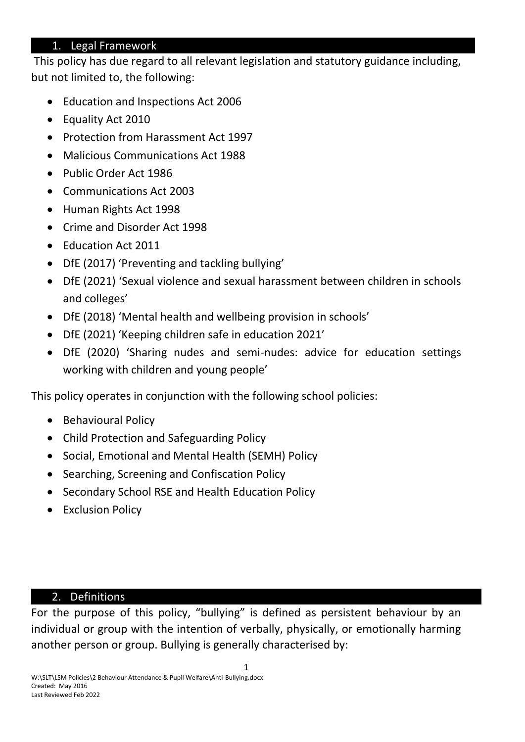#### 1. Legal Framework

This policy has due regard to all relevant legislation and statutory guidance including, but not limited to, the following:

- Education and Inspections Act 2006
- Equality Act 2010
- Protection from Harassment Act 1997
- Malicious Communications Act 1988
- Public Order Act 1986
- Communications Act 2003
- Human Rights Act 1998
- Crime and Disorder Act 1998
- **Education Act 2011**
- DfE (2017) 'Preventing and tackling bullying'
- DfE (2021) 'Sexual violence and sexual harassment between children in schools and colleges'
- DfE (2018) 'Mental health and wellbeing provision in schools'
- DfE (2021) 'Keeping children safe in education 2021'
- DfE (2020) 'Sharing nudes and semi-nudes: advice for education settings working with children and young people'

This policy operates in conjunction with the following school policies:

- Behavioural Policy
- Child Protection and Safeguarding Policy
- Social, Emotional and Mental Health (SEMH) Policy
- Searching, Screening and Confiscation Policy
- Secondary School RSE and Health Education Policy
- Exclusion Policy

# 2. Definitions

For the purpose of this policy, "bullying" is defined as persistent behaviour by an individual or group with the intention of verbally, physically, or emotionally harming another person or group. Bullying is generally characterised by: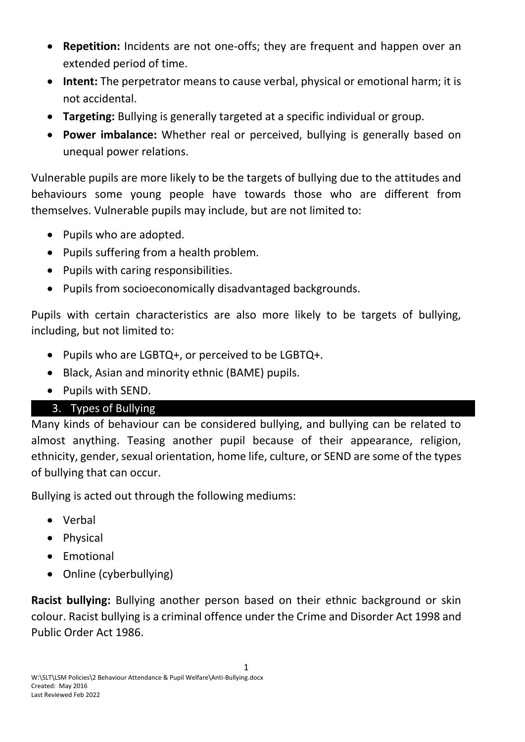- **Repetition:** Incidents are not one-offs; they are frequent and happen over an extended period of time.
- **Intent:** The perpetrator means to cause verbal, physical or emotional harm; it is not accidental.
- **Targeting:** Bullying is generally targeted at a specific individual or group.
- **Power imbalance:** Whether real or perceived, bullying is generally based on unequal power relations.

Vulnerable pupils are more likely to be the targets of bullying due to the attitudes and behaviours some young people have towards those who are different from themselves. Vulnerable pupils may include, but are not limited to:

- Pupils who are adopted.
- Pupils suffering from a health problem.
- Pupils with caring responsibilities.
- Pupils from socioeconomically disadvantaged backgrounds.

Pupils with certain characteristics are also more likely to be targets of bullying, including, but not limited to:

- Pupils who are LGBTQ+, or perceived to be LGBTQ+.
- Black, Asian and minority ethnic (BAME) pupils.
- Pupils with SEND.

# 3. Types of Bullying

Many kinds of behaviour can be considered bullying, and bullying can be related to almost anything. Teasing another pupil because of their appearance, religion, ethnicity, gender, sexual orientation, home life, culture, or SEND are some of the types of bullying that can occur.

Bullying is acted out through the following mediums:

- Verbal
- Physical
- Emotional
- Online (cyberbullying)

**Racist bullying:** Bullying another person based on their ethnic background or skin colour. Racist bullying is a criminal offence under the Crime and Disorder Act 1998 and Public Order Act 1986.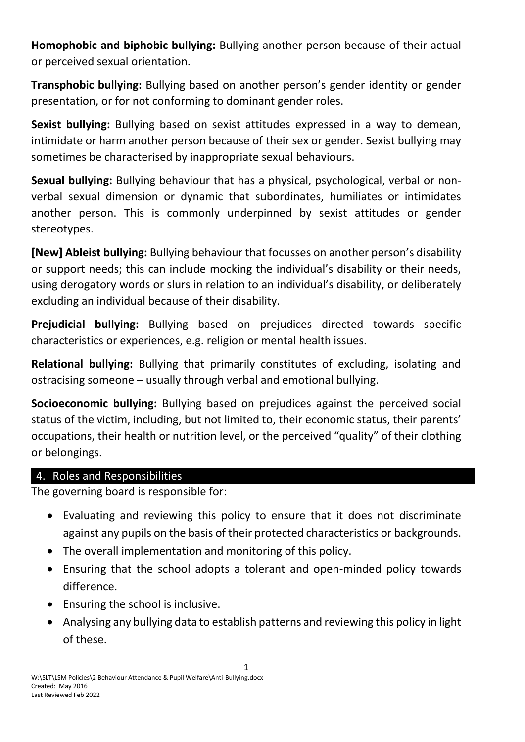**Homophobic and biphobic bullying:** Bullying another person because of their actual or perceived sexual orientation.

**Transphobic bullying:** Bullying based on another person's gender identity or gender presentation, or for not conforming to dominant gender roles.

**Sexist bullying:** Bullying based on sexist attitudes expressed in a way to demean, intimidate or harm another person because of their sex or gender. Sexist bullying may sometimes be characterised by inappropriate sexual behaviours.

**Sexual bullying:** Bullying behaviour that has a physical, psychological, verbal or nonverbal sexual dimension or dynamic that subordinates, humiliates or intimidates another person. This is commonly underpinned by sexist attitudes or gender stereotypes.

**[New] Ableist bullying:** Bullying behaviour that focusses on another person's disability or support needs; this can include mocking the individual's disability or their needs, using derogatory words or slurs in relation to an individual's disability, or deliberately excluding an individual because of their disability.

**Prejudicial bullying:** Bullying based on prejudices directed towards specific characteristics or experiences, e.g. religion or mental health issues.

**Relational bullying:** Bullying that primarily constitutes of excluding, isolating and ostracising someone – usually through verbal and emotional bullying.

**Socioeconomic bullying:** Bullying based on prejudices against the perceived social status of the victim, including, but not limited to, their economic status, their parents' occupations, their health or nutrition level, or the perceived "quality" of their clothing or belongings.

#### 4. Roles and Responsibilities

The governing board is responsible for:

- Evaluating and reviewing this policy to ensure that it does not discriminate against any pupils on the basis of their protected characteristics or backgrounds.
- The overall implementation and monitoring of this policy.
- Ensuring that the school adopts a tolerant and open-minded policy towards difference.
- Ensuring the school is inclusive.
- Analysing any bullying data to establish patterns and reviewing this policy in light of these.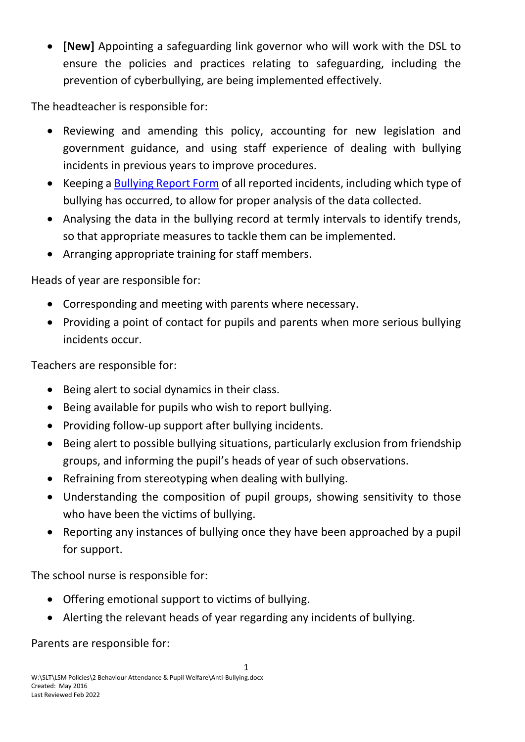• **[New]** Appointing a safeguarding link governor who will work with the DSL to ensure the policies and practices relating to safeguarding, including the prevention of cyberbullying, are being implemented effectively.

The headteacher is responsible for:

- Reviewing and amending this policy, accounting for new legislation and government guidance, and using staff experience of dealing with bullying incidents in previous years to improve procedures.
- Keeping a [Bullying Report Form](#page-16-0) of all reported incidents, including which type of bullying has occurred, to allow for proper analysis of the data collected.
- Analysing the data in the bullying record at termly intervals to identify trends, so that appropriate measures to tackle them can be implemented.
- Arranging appropriate training for staff members.

Heads of year are responsible for:

- Corresponding and meeting with parents where necessary.
- Providing a point of contact for pupils and parents when more serious bullying incidents occur.

Teachers are responsible for:

- Being alert to social dynamics in their class.
- Being available for pupils who wish to report bullying.
- Providing follow-up support after bullying incidents.
- Being alert to possible bullying situations, particularly exclusion from friendship groups, and informing the pupil's heads of year of such observations.
- Refraining from stereotyping when dealing with bullying.
- Understanding the composition of pupil groups, showing sensitivity to those who have been the victims of bullying.
- Reporting any instances of bullying once they have been approached by a pupil for support.

The school nurse is responsible for:

- Offering emotional support to victims of bullying.
- Alerting the relevant heads of year regarding any incidents of bullying.

Parents are responsible for: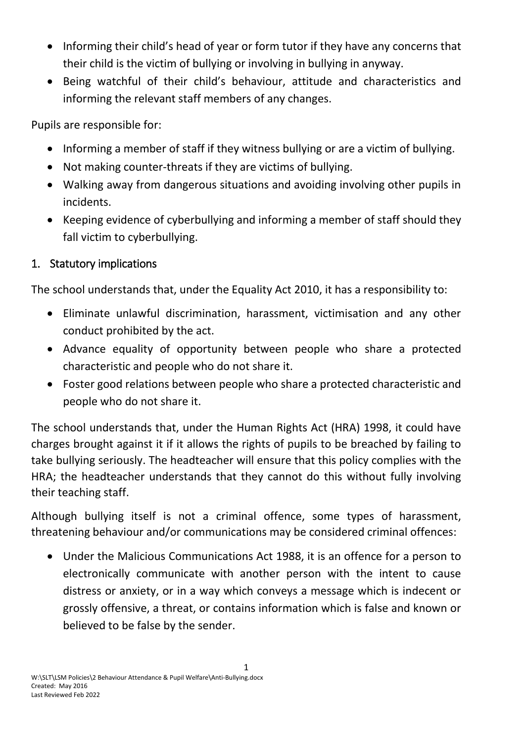- Informing their child's head of year or form tutor if they have any concerns that their child is the victim of bullying or involving in bullying in anyway.
- Being watchful of their child's behaviour, attitude and characteristics and informing the relevant staff members of any changes.

Pupils are responsible for:

- Informing a member of staff if they witness bullying or are a victim of bullying.
- Not making counter-threats if they are victims of bullying.
- Walking away from dangerous situations and avoiding involving other pupils in incidents.
- Keeping evidence of cyberbullying and informing a member of staff should they fall victim to cyberbullying.

## 1. Statutory implications

The school understands that, under the Equality Act 2010, it has a responsibility to:

- Eliminate unlawful discrimination, harassment, victimisation and any other conduct prohibited by the act.
- Advance equality of opportunity between people who share a protected characteristic and people who do not share it.
- Foster good relations between people who share a protected characteristic and people who do not share it.

The school understands that, under the Human Rights Act (HRA) 1998, it could have charges brought against it if it allows the rights of pupils to be breached by failing to take bullying seriously. The headteacher will ensure that this policy complies with the HRA; the headteacher understands that they cannot do this without fully involving their teaching staff.

Although bullying itself is not a criminal offence, some types of harassment, threatening behaviour and/or communications may be considered criminal offences:

• Under the Malicious Communications Act 1988, it is an offence for a person to electronically communicate with another person with the intent to cause distress or anxiety, or in a way which conveys a message which is indecent or grossly offensive, a threat, or contains information which is false and known or believed to be false by the sender.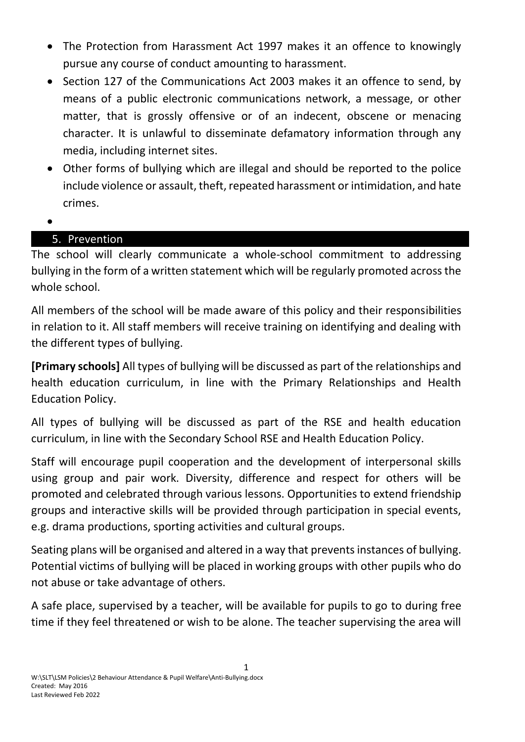- The Protection from Harassment Act 1997 makes it an offence to knowingly pursue any course of conduct amounting to harassment.
- Section 127 of the Communications Act 2003 makes it an offence to send, by means of a public electronic communications network, a message, or other matter, that is grossly offensive or of an indecent, obscene or menacing character. It is unlawful to disseminate defamatory information through any media, including internet sites.
- Other forms of bullying which are illegal and should be reported to the police include violence or assault, theft, repeated harassment or intimidation, and hate crimes.
- •

# 5. Prevention

The school will clearly communicate a whole-school commitment to addressing bullying in the form of a written statement which will be regularly promoted across the whole school.

All members of the school will be made aware of this policy and their responsibilities in relation to it. All staff members will receive training on identifying and dealing with the different types of bullying.

**[Primary schools]** All types of bullying will be discussed as part of the relationships and health education curriculum, in line with the Primary Relationships and Health Education Policy.

All types of bullying will be discussed as part of the RSE and health education curriculum, in line with the Secondary School RSE and Health Education Policy.

Staff will encourage pupil cooperation and the development of interpersonal skills using group and pair work. Diversity, difference and respect for others will be promoted and celebrated through various lessons. Opportunities to extend friendship groups and interactive skills will be provided through participation in special events, e.g. drama productions, sporting activities and cultural groups.

Seating plans will be organised and altered in a way that prevents instances of bullying. Potential victims of bullying will be placed in working groups with other pupils who do not abuse or take advantage of others.

A safe place, supervised by a teacher, will be available for pupils to go to during free time if they feel threatened or wish to be alone. The teacher supervising the area will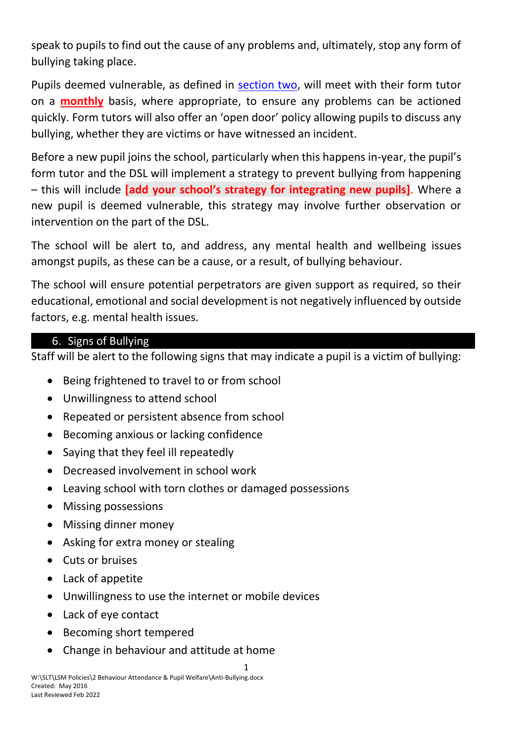speak to pupils to find out the cause of any problems and, ultimately, stop any form of bullying taking place.

Pupils deemed vulnerable, as defined in section two, will meet with their form tutor on a **monthly** basis, where appropriate, to ensure any problems can be actioned quickly. Form tutors will also offer an 'open door' policy allowing pupils to discuss any bullying, whether they are victims or have witnessed an incident.

Before a new pupil joins the school, particularly when this happens in-year, the pupil's form tutor and the DSL will implement a strategy to prevent bullying from happening – this will include **[add your school's strategy for integrating new pupils]**. Where a new pupil is deemed vulnerable, this strategy may involve further observation or intervention on the part of the DSL.

The school will be alert to, and address, any mental health and wellbeing issues amongst pupils, as these can be a cause, or a result, of bullying behaviour.

The school will ensure potential perpetrators are given support as required, so their educational, emotional and social development is not negatively influenced by outside factors, e.g. mental health issues.

#### 6. Signs of Bullying

Staff will be alert to the following signs that may indicate a pupil is a victim of bullying:

- Being frightened to travel to or from school
- Unwillingness to attend school
- Repeated or persistent absence from school
- Becoming anxious or lacking confidence
- Saying that they feel ill repeatedly
- Decreased involvement in school work
- Leaving school with torn clothes or damaged possessions
- Missing possessions
- Missing dinner money
- Asking for extra money or stealing
- Cuts or bruises
- Lack of appetite
- Unwillingness to use the internet or mobile devices
- Lack of eye contact
- Becoming short tempered
- Change in behaviour and attitude at home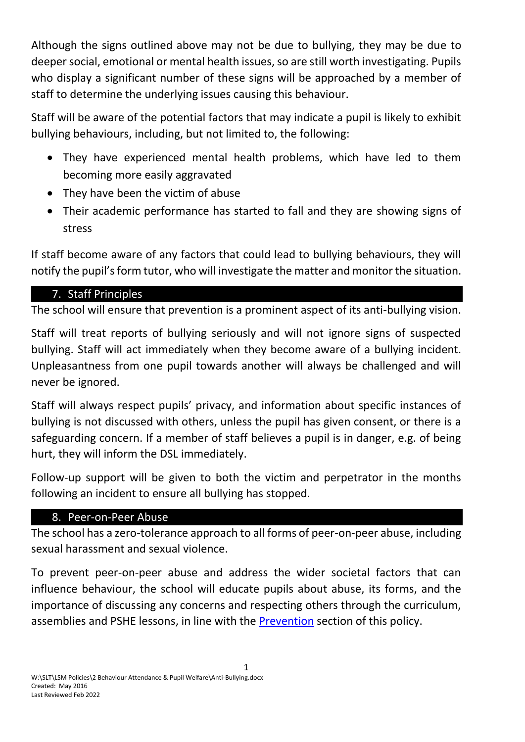Although the signs outlined above may not be due to bullying, they may be due to deeper social, emotional or mental health issues, so are still worth investigating. Pupils who display a significant number of these signs will be approached by a member of staff to determine the underlying issues causing this behaviour.

Staff will be aware of the potential factors that may indicate a pupil is likely to exhibit bullying behaviours, including, but not limited to, the following:

- They have experienced mental health problems, which have led to them becoming more easily aggravated
- They have been the victim of abuse
- Their academic performance has started to fall and they are showing signs of stress

If staff become aware of any factors that could lead to bullying behaviours, they will notify the pupil's form tutor, who will investigate the matter and monitor the situation.

# 7. Staff Principles

The school will ensure that prevention is a prominent aspect of its anti-bullying vision.

Staff will treat reports of bullying seriously and will not ignore signs of suspected bullying. Staff will act immediately when they become aware of a bullying incident. Unpleasantness from one pupil towards another will always be challenged and will never be ignored.

Staff will always respect pupils' privacy, and information about specific instances of bullying is not discussed with others, unless the pupil has given consent, or there is a safeguarding concern. If a member of staff believes a pupil is in danger, e.g. of being hurt, they will inform the DSL immediately.

Follow-up support will be given to both the victim and perpetrator in the months following an incident to ensure all bullying has stopped.

# 8. Peer-on-Peer Abuse

The school has a zero-tolerance approach to all forms of peer-on-peer abuse, including sexual harassment and sexual violence.

To prevent peer-on-peer abuse and address the wider societal factors that can influence behaviour, the school will educate pupils about abuse, its forms, and the importance of discussing any concerns and respecting others through the curriculum, assemblies and PSHE lessons, in line with the Prevention section of this policy.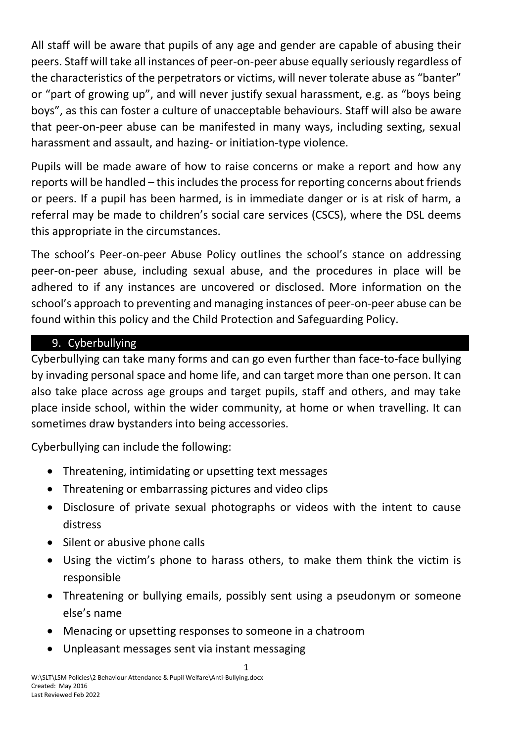All staff will be aware that pupils of any age and gender are capable of abusing their peers. Staff will take all instances of peer-on-peer abuse equally seriously regardless of the characteristics of the perpetrators or victims, will never tolerate abuse as "banter" or "part of growing up", and will never justify sexual harassment, e.g. as "boys being boys", as this can foster a culture of unacceptable behaviours. Staff will also be aware that peer-on-peer abuse can be manifested in many ways, including sexting, sexual harassment and assault, and hazing- or initiation-type violence.

Pupils will be made aware of how to raise concerns or make a report and how any reports will be handled – this includes the process for reporting concerns about friends or peers. If a pupil has been harmed, is in immediate danger or is at risk of harm, a referral may be made to children's social care services (CSCS), where the DSL deems this appropriate in the circumstances.

The school's Peer-on-peer Abuse Policy outlines the school's stance on addressing peer-on-peer abuse, including sexual abuse, and the procedures in place will be adhered to if any instances are uncovered or disclosed. More information on the school's approach to preventing and managing instances of peer-on-peer abuse can be found within this policy and the Child Protection and Safeguarding Policy.

#### 9. Cyberbullying

Cyberbullying can take many forms and can go even further than face-to-face bullying by invading personal space and home life, and can target more than one person. It can also take place across age groups and target pupils, staff and others, and may take place inside school, within the wider community, at home or when travelling. It can sometimes draw bystanders into being accessories.

Cyberbullying can include the following:

- Threatening, intimidating or upsetting text messages
- Threatening or embarrassing pictures and video clips
- Disclosure of private sexual photographs or videos with the intent to cause distress
- Silent or abusive phone calls
- Using the victim's phone to harass others, to make them think the victim is responsible
- Threatening or bullying emails, possibly sent using a pseudonym or someone else's name
- Menacing or upsetting responses to someone in a chatroom
- Unpleasant messages sent via instant messaging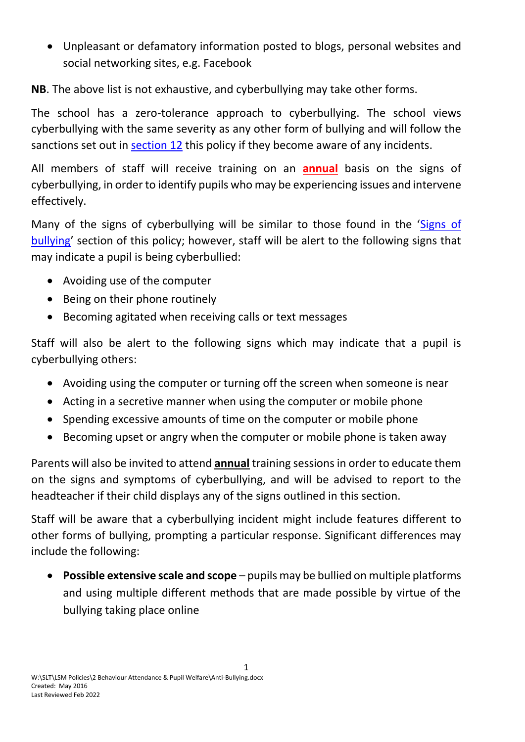• Unpleasant or defamatory information posted to blogs, personal websites and social networking sites, e.g. Facebook

**NB**. The above list is not exhaustive, and cyberbullying may take other forms.

The school has a zero-tolerance approach to cyberbullying. The school views cyberbullying with the same severity as any other form of bullying and will follow the sanctions set out in section 12 this policy if they become aware of any incidents.

All members of staff will receive training on an **annual** basis on the signs of cyberbullying, in order to identify pupils who may be experiencing issues and intervene effectively.

Many of the signs of cyberbullying will be similar to those found in the 'Signs of bullying' section of this policy; however, staff will be alert to the following signs that may indicate a pupil is being cyberbullied:

- Avoiding use of the computer
- Being on their phone routinely
- Becoming agitated when receiving calls or text messages

Staff will also be alert to the following signs which may indicate that a pupil is cyberbullying others:

- Avoiding using the computer or turning off the screen when someone is near
- Acting in a secretive manner when using the computer or mobile phone
- Spending excessive amounts of time on the computer or mobile phone
- Becoming upset or angry when the computer or mobile phone is taken away

Parents will also be invited to attend **annual** training sessions in order to educate them on the signs and symptoms of cyberbullying, and will be advised to report to the headteacher if their child displays any of the signs outlined in this section.

Staff will be aware that a cyberbullying incident might include features different to other forms of bullying, prompting a particular response. Significant differences may include the following:

• **Possible extensive scale and scope** – pupils may be bullied on multiple platforms and using multiple different methods that are made possible by virtue of the bullying taking place online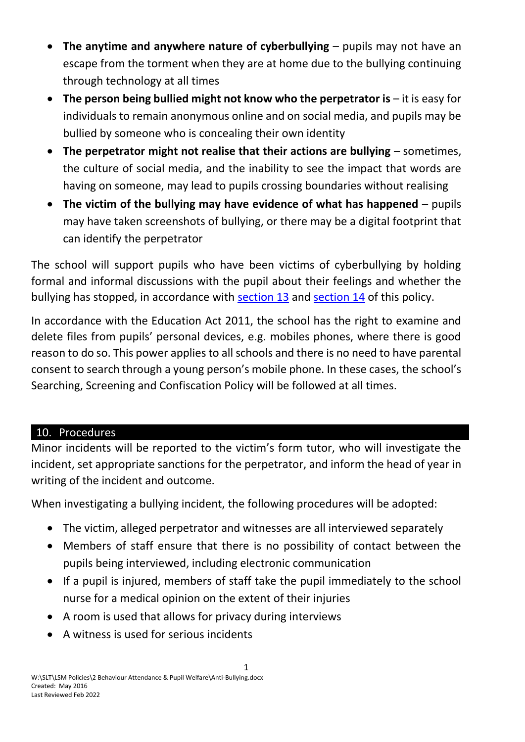- **The anytime and anywhere nature of cyberbullying** pupils may not have an escape from the torment when they are at home due to the bullying continuing through technology at all times
- The person being bullied might not know who the perpetrator is it is easy for individuals to remain anonymous online and on social media, and pupils may be bullied by someone who is concealing their own identity
- **The perpetrator might not realise that their actions are bullying** sometimes, the culture of social media, and the inability to see the impact that words are having on someone, may lead to pupils crossing boundaries without realising
- **The victim of the bullying may have evidence of what has happened**  pupils may have taken screenshots of bullying, or there may be a digital footprint that can identify the perpetrator

The school will support pupils who have been victims of cyberbullying by holding formal and informal discussions with the pupil about their feelings and whether the bullying has stopped, in accordance with section 13 and [section 14](#page-14-0) of this policy.

In accordance with the Education Act 2011, the school has the right to examine and delete files from pupils' personal devices, e.g. mobiles phones, where there is good reason to do so. This power applies to all schools and there is no need to have parental consent to search through a young person's mobile phone. In these cases, the school's Searching, Screening and Confiscation Policy will be followed at all times.

#### 10. Procedures

Minor incidents will be reported to the victim's form tutor, who will investigate the incident, set appropriate sanctions for the perpetrator, and inform the head of year in writing of the incident and outcome.

When investigating a bullying incident, the following procedures will be adopted:

- The victim, alleged perpetrator and witnesses are all interviewed separately
- Members of staff ensure that there is no possibility of contact between the pupils being interviewed, including electronic communication
- If a pupil is injured, members of staff take the pupil immediately to the school nurse for a medical opinion on the extent of their injuries
- A room is used that allows for privacy during interviews
- A witness is used for serious incidents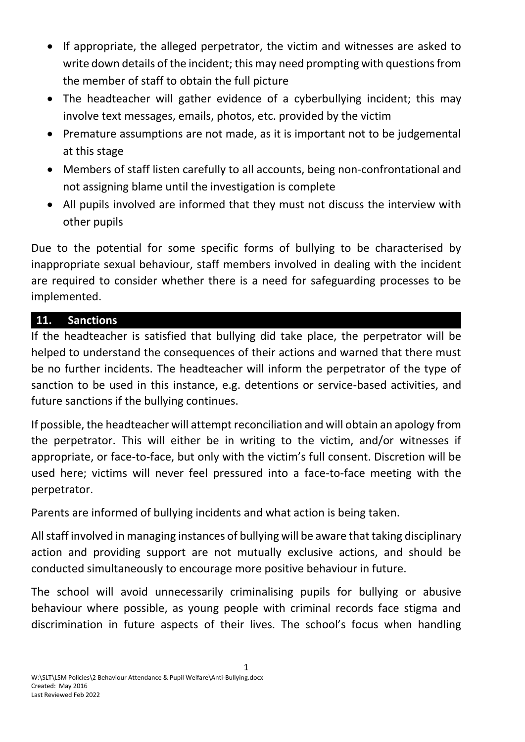- If appropriate, the alleged perpetrator, the victim and witnesses are asked to write down details of the incident; this may need prompting with questions from the member of staff to obtain the full picture
- The headteacher will gather evidence of a cyberbullying incident; this may involve text messages, emails, photos, etc. provided by the victim
- Premature assumptions are not made, as it is important not to be judgemental at this stage
- Members of staff listen carefully to all accounts, being non-confrontational and not assigning blame until the investigation is complete
- All pupils involved are informed that they must not discuss the interview with other pupils

Due to the potential for some specific forms of bullying to be characterised by inappropriate sexual behaviour, staff members involved in dealing with the incident are required to consider whether there is a need for safeguarding processes to be implemented.

#### **11. Sanctions**

If the headteacher is satisfied that bullying did take place, the perpetrator will be helped to understand the consequences of their actions and warned that there must be no further incidents. The headteacher will inform the perpetrator of the type of sanction to be used in this instance, e.g. detentions or service-based activities, and future sanctions if the bullying continues.

If possible, the headteacher will attempt reconciliation and will obtain an apology from the perpetrator. This will either be in writing to the victim, and/or witnesses if appropriate, or face-to-face, but only with the victim's full consent. Discretion will be used here; victims will never feel pressured into a face-to-face meeting with the perpetrator.

Parents are informed of bullying incidents and what action is being taken.

All staff involved in managing instances of bullying will be aware that taking disciplinary action and providing support are not mutually exclusive actions, and should be conducted simultaneously to encourage more positive behaviour in future.

The school will avoid unnecessarily criminalising pupils for bullying or abusive behaviour where possible, as young people with criminal records face stigma and discrimination in future aspects of their lives. The school's focus when handling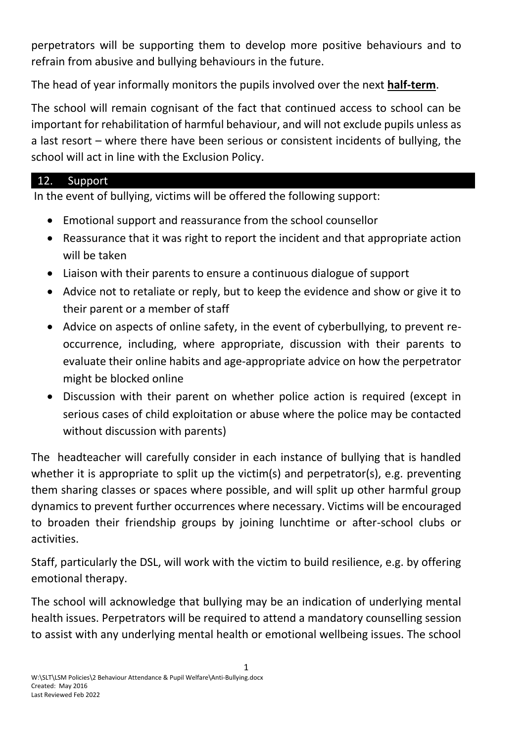perpetrators will be supporting them to develop more positive behaviours and to refrain from abusive and bullying behaviours in the future.

The head of year informally monitors the pupils involved over the next **half-term**.

The school will remain cognisant of the fact that continued access to school can be important for rehabilitation of harmful behaviour, and will not exclude pupils unless as a last resort – where there have been serious or consistent incidents of bullying, the school will act in line with the Exclusion Policy.

## 12. Support

In the event of bullying, victims will be offered the following support:

- Emotional support and reassurance from the school counsellor
- Reassurance that it was right to report the incident and that appropriate action will be taken
- Liaison with their parents to ensure a continuous dialogue of support
- Advice not to retaliate or reply, but to keep the evidence and show or give it to their parent or a member of staff
- Advice on aspects of online safety, in the event of cyberbullying, to prevent reoccurrence, including, where appropriate, discussion with their parents to evaluate their online habits and age-appropriate advice on how the perpetrator might be blocked online
- Discussion with their parent on whether police action is required (except in serious cases of child exploitation or abuse where the police may be contacted without discussion with parents)

The headteacher will carefully consider in each instance of bullying that is handled whether it is appropriate to split up the victim(s) and perpetrator(s), e.g. preventing them sharing classes or spaces where possible, and will split up other harmful group dynamics to prevent further occurrences where necessary. Victims will be encouraged to broaden their friendship groups by joining lunchtime or after-school clubs or activities.

Staff, particularly the DSL, will work with the victim to build resilience, e.g. by offering emotional therapy.

The school will acknowledge that bullying may be an indication of underlying mental health issues. Perpetrators will be required to attend a mandatory counselling session to assist with any underlying mental health or emotional wellbeing issues. The school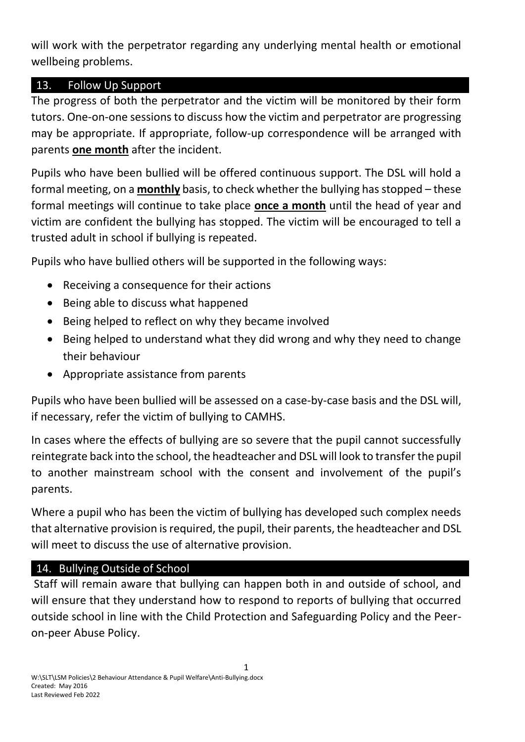will work with the perpetrator regarding any underlying mental health or emotional wellbeing problems.

#### 13. Follow Up Support

<span id="page-14-0"></span>The progress of both the perpetrator and the victim will be monitored by their form tutors. One-on-one sessions to discuss how the victim and perpetrator are progressing may be appropriate. If appropriate, follow-up correspondence will be arranged with parents **one month** after the incident.

Pupils who have been bullied will be offered continuous support. The DSL will hold a formal meeting, on a **monthly** basis, to check whether the bullying has stopped – these formal meetings will continue to take place **once a month** until the head of year and victim are confident the bullying has stopped. The victim will be encouraged to tell a trusted adult in school if bullying is repeated.

Pupils who have bullied others will be supported in the following ways:

- Receiving a consequence for their actions
- Being able to discuss what happened
- Being helped to reflect on why they became involved
- Being helped to understand what they did wrong and why they need to change their behaviour
- Appropriate assistance from parents

Pupils who have been bullied will be assessed on a case-by-case basis and the DSL will, if necessary, refer the victim of bullying to CAMHS.

In cases where the effects of bullying are so severe that the pupil cannot successfully reintegrate back into the school, the headteacher and DSL will look to transfer the pupil to another mainstream school with the consent and involvement of the pupil's parents.

Where a pupil who has been the victim of bullying has developed such complex needs that alternative provision is required, the pupil, their parents, the headteacher and DSL will meet to discuss the use of alternative provision.

# 14. Bullying Outside of School

Staff will remain aware that bullying can happen both in and outside of school, and will ensure that they understand how to respond to reports of bullying that occurred outside school in line with the Child Protection and Safeguarding Policy and the Peeron-peer Abuse Policy.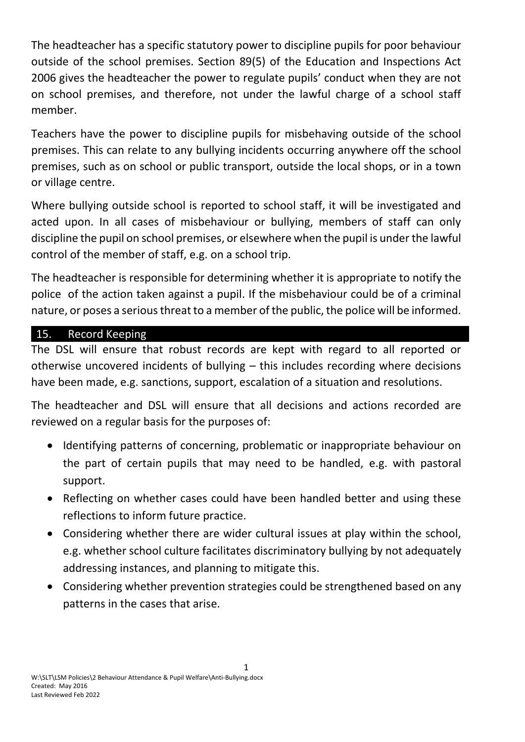The headteacher has a specific statutory power to discipline pupils for poor behaviour outside of the school premises. Section 89(5) of the Education and Inspections Act 2006 gives the headteacher the power to regulate pupils' conduct when they are not on school premises, and therefore, not under the lawful charge of a school staff member.

Teachers have the power to discipline pupils for misbehaving outside of the school premises. This can relate to any bullying incidents occurring anywhere off the school premises, such as on school or public transport, outside the local shops, or in a town or village centre.

Where bullying outside school is reported to school staff, it will be investigated and acted upon. In all cases of misbehaviour or bullying, members of staff can only discipline the pupil on school premises, or elsewhere when the pupil is under the lawful control of the member of staff, e.g. on a school trip.

The headteacher is responsible for determining whether it is appropriate to notify the police of the action taken against a pupil. If the misbehaviour could be of a criminal nature, or poses a serious threat to a member of the public, the police will be informed.

#### 15. Record Keeping

The DSL will ensure that robust records are kept with regard to all reported or otherwise uncovered incidents of bullying – this includes recording where decisions have been made, e.g. sanctions, support, escalation of a situation and resolutions.

The headteacher and DSL will ensure that all decisions and actions recorded are reviewed on a regular basis for the purposes of:

- Identifying patterns of concerning, problematic or inappropriate behaviour on the part of certain pupils that may need to be handled, e.g. with pastoral support.
- Reflecting on whether cases could have been handled better and using these reflections to inform future practice.
- Considering whether there are wider cultural issues at play within the school, e.g. whether school culture facilitates discriminatory bullying by not adequately addressing instances, and planning to mitigate this.
- Considering whether prevention strategies could be strengthened based on any patterns in the cases that arise.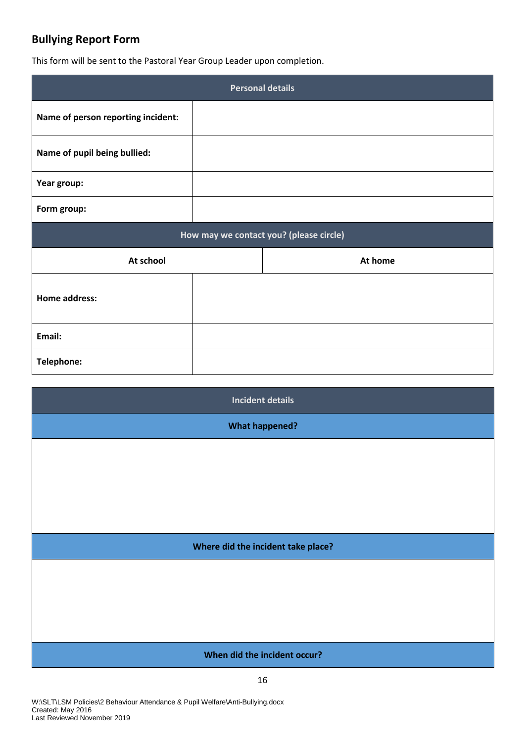# <span id="page-16-0"></span>**Bullying Report Form**

This form will be sent to the Pastoral Year Group Leader upon completion.

| <b>Personal details</b>                 |  |  |         |
|-----------------------------------------|--|--|---------|
| Name of person reporting incident:      |  |  |         |
| Name of pupil being bullied:            |  |  |         |
| Year group:                             |  |  |         |
| Form group:                             |  |  |         |
| How may we contact you? (please circle) |  |  |         |
| At school                               |  |  | At home |
| <b>Home address:</b>                    |  |  |         |
| Email:                                  |  |  |         |
| Telephone:                              |  |  |         |

| <b>Incident details</b>            |  |  |  |
|------------------------------------|--|--|--|
| <b>What happened?</b>              |  |  |  |
|                                    |  |  |  |
|                                    |  |  |  |
|                                    |  |  |  |
|                                    |  |  |  |
| Where did the incident take place? |  |  |  |
|                                    |  |  |  |
|                                    |  |  |  |
|                                    |  |  |  |
| When did the incident occur?       |  |  |  |